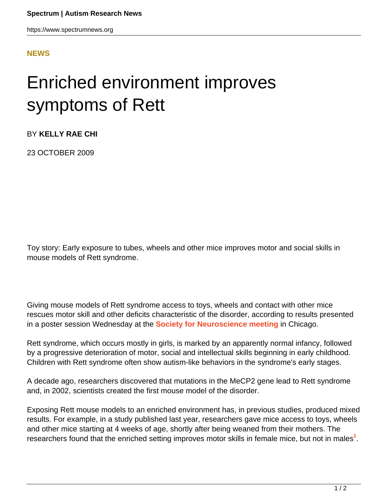https://www.spectrumnews.org

## **[NEWS](HTTPS://WWW.SPECTRUMNEWS.ORG/NEWS/)**

## Enriched environment improves symptoms of Rett

BY **KELLY RAE CHI**

23 OCTOBER 2009

Toy story: Early exposure to tubes, wheels and other mice improves motor and social skills in mouse models of Rett syndrome.

Giving mouse models of Rett syndrome access to toys, wheels and contact with other mice rescues motor skill and other deficits characteristic of the disorder, according to results presented in a poster session Wednesday at the **[Society for Neuroscience meeting](../../../../news-and-opinion/conference-news/2011/society-for-neuroscience-2009)** in Chicago.

Rett syndrome, which occurs mostly in girls, is marked by an apparently normal infancy, followed by a progressive deterioration of motor, social and intellectual skills beginning in early childhood. Children with Rett syndrome often show autism-like behaviors in the syndrome's early stages.

A decade ago, researchers discovered that mutations in the MeCP2 gene lead to Rett syndrome and, in 2002, scientists created the first mouse model of the disorder.

Exposing Rett mouse models to an enriched environment has, in previous studies, produced mixed results. For example, in a study published last year, researchers gave mice access to toys, wheels and other mice starting at 4 weeks of age, shortly after being weaned from their mothers. The researchers found that the enriched setting improves motor skills in female mice, but not in males**<sup>1</sup>** .